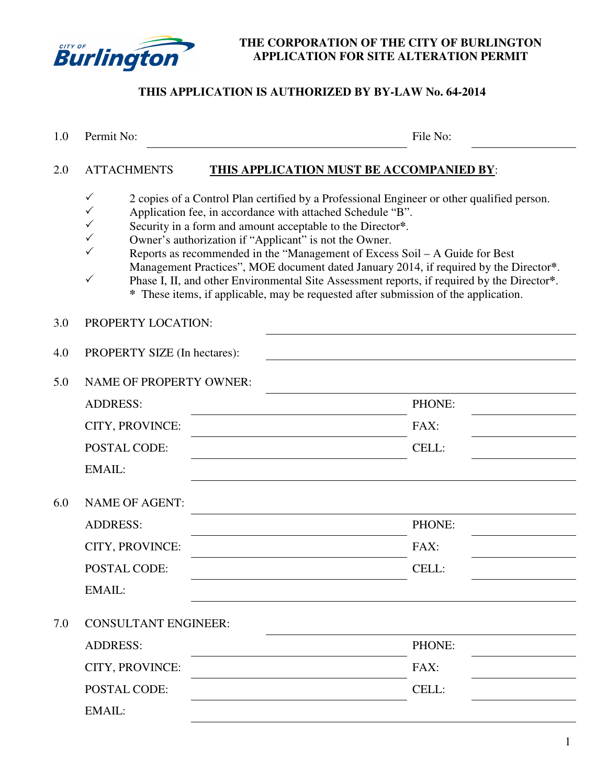

### **THE CORPORATION OF THE CITY OF BURLINGTON APPLICATION FOR SITE ALTERATION PERMIT**

# **THIS APPLICATION IS AUTHORIZED BY BY-LAW No. 64-2014**

| 1.0 | Permit No:                       | File No:                                                                                                                                                                                                                                                                                                                                                                                                                                                                                                                                                                                                                                       |
|-----|----------------------------------|------------------------------------------------------------------------------------------------------------------------------------------------------------------------------------------------------------------------------------------------------------------------------------------------------------------------------------------------------------------------------------------------------------------------------------------------------------------------------------------------------------------------------------------------------------------------------------------------------------------------------------------------|
| 2.0 | <b>ATTACHMENTS</b>               | <b>THIS APPLICATION MUST BE ACCOMPANIED BY:</b>                                                                                                                                                                                                                                                                                                                                                                                                                                                                                                                                                                                                |
|     | $\checkmark$<br>✓<br>✓<br>✓<br>✓ | 2 copies of a Control Plan certified by a Professional Engineer or other qualified person.<br>Application fee, in accordance with attached Schedule "B".<br>Security in a form and amount acceptable to the Director*.<br>Owner's authorization if "Applicant" is not the Owner.<br>Reports as recommended in the "Management of Excess Soil - A Guide for Best<br>Management Practices", MOE document dated January 2014, if required by the Director*.<br>Phase I, II, and other Environmental Site Assessment reports, if required by the Director*.<br>* These items, if applicable, may be requested after submission of the application. |
| 3.0 | PROPERTY LOCATION:               |                                                                                                                                                                                                                                                                                                                                                                                                                                                                                                                                                                                                                                                |
| 4.0 | PROPERTY SIZE (In hectares):     |                                                                                                                                                                                                                                                                                                                                                                                                                                                                                                                                                                                                                                                |
| 5.0 | <b>NAME OF PROPERTY OWNER:</b>   |                                                                                                                                                                                                                                                                                                                                                                                                                                                                                                                                                                                                                                                |
|     | <b>ADDRESS:</b>                  | PHONE:                                                                                                                                                                                                                                                                                                                                                                                                                                                                                                                                                                                                                                         |
|     | CITY, PROVINCE:                  | FAX:                                                                                                                                                                                                                                                                                                                                                                                                                                                                                                                                                                                                                                           |
|     | <b>POSTAL CODE:</b>              | CELL:                                                                                                                                                                                                                                                                                                                                                                                                                                                                                                                                                                                                                                          |
|     | EMAIL:                           |                                                                                                                                                                                                                                                                                                                                                                                                                                                                                                                                                                                                                                                |
| 6.0 | <b>NAME OF AGENT:</b>            |                                                                                                                                                                                                                                                                                                                                                                                                                                                                                                                                                                                                                                                |
|     | <b>ADDRESS:</b>                  | PHONE:                                                                                                                                                                                                                                                                                                                                                                                                                                                                                                                                                                                                                                         |
|     | CITY, PROVINCE:                  | FAX:                                                                                                                                                                                                                                                                                                                                                                                                                                                                                                                                                                                                                                           |
|     | POSTAL CODE:                     | CELL:                                                                                                                                                                                                                                                                                                                                                                                                                                                                                                                                                                                                                                          |
|     | <b>EMAIL:</b>                    |                                                                                                                                                                                                                                                                                                                                                                                                                                                                                                                                                                                                                                                |
| 7.0 | <b>CONSULTANT ENGINEER:</b>      |                                                                                                                                                                                                                                                                                                                                                                                                                                                                                                                                                                                                                                                |
|     | <b>ADDRESS:</b>                  | PHONE:                                                                                                                                                                                                                                                                                                                                                                                                                                                                                                                                                                                                                                         |
|     | CITY, PROVINCE:                  | FAX:                                                                                                                                                                                                                                                                                                                                                                                                                                                                                                                                                                                                                                           |
|     | POSTAL CODE:                     | CELL:                                                                                                                                                                                                                                                                                                                                                                                                                                                                                                                                                                                                                                          |
|     | <b>EMAIL:</b>                    |                                                                                                                                                                                                                                                                                                                                                                                                                                                                                                                                                                                                                                                |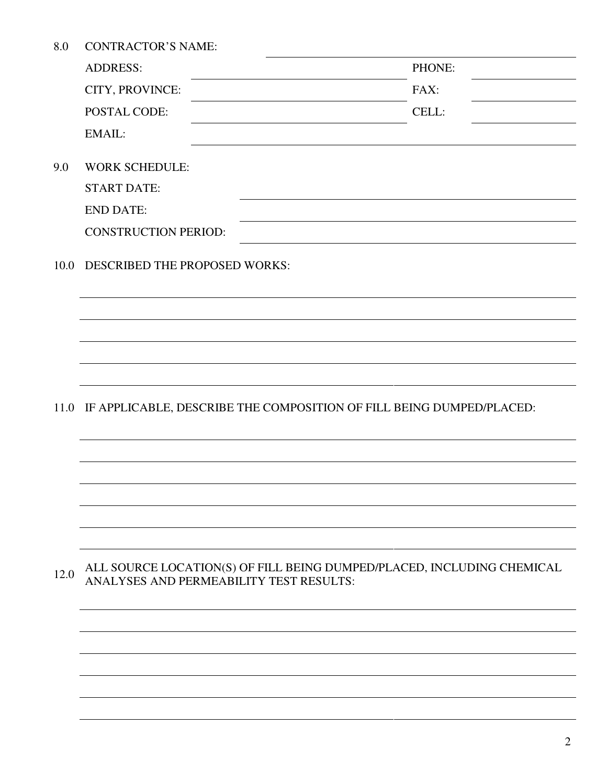|  | 8.0 | <b>CONTRACTOR'S NAME:</b> |
|--|-----|---------------------------|
|--|-----|---------------------------|

|      | <b>ADDRESS:</b>                         | PHONE:                                                                 |
|------|-----------------------------------------|------------------------------------------------------------------------|
|      | CITY, PROVINCE:                         | FAX:                                                                   |
|      | POSTAL CODE:                            | CELL:                                                                  |
|      | EMAIL:                                  |                                                                        |
| 9.0  | <b>WORK SCHEDULE:</b>                   |                                                                        |
|      | <b>START DATE:</b>                      |                                                                        |
|      | <b>END DATE:</b>                        |                                                                        |
|      | <b>CONSTRUCTION PERIOD:</b>             |                                                                        |
| 10.0 | DESCRIBED THE PROPOSED WORKS:           |                                                                        |
|      |                                         |                                                                        |
|      |                                         |                                                                        |
|      |                                         |                                                                        |
|      |                                         |                                                                        |
| 11.0 |                                         | IF APPLICABLE, DESCRIBE THE COMPOSITION OF FILL BEING DUMPED/PLACED:   |
|      |                                         |                                                                        |
|      |                                         |                                                                        |
|      |                                         |                                                                        |
|      |                                         |                                                                        |
|      |                                         |                                                                        |
| 12.0 | ANALYSES AND PERMEABILITY TEST RESULTS: | ALL SOURCE LOCATION(S) OF FILL BEING DUMPED/PLACED, INCLUDING CHEMICAL |
|      |                                         |                                                                        |
|      |                                         |                                                                        |
|      |                                         |                                                                        |
|      |                                         |                                                                        |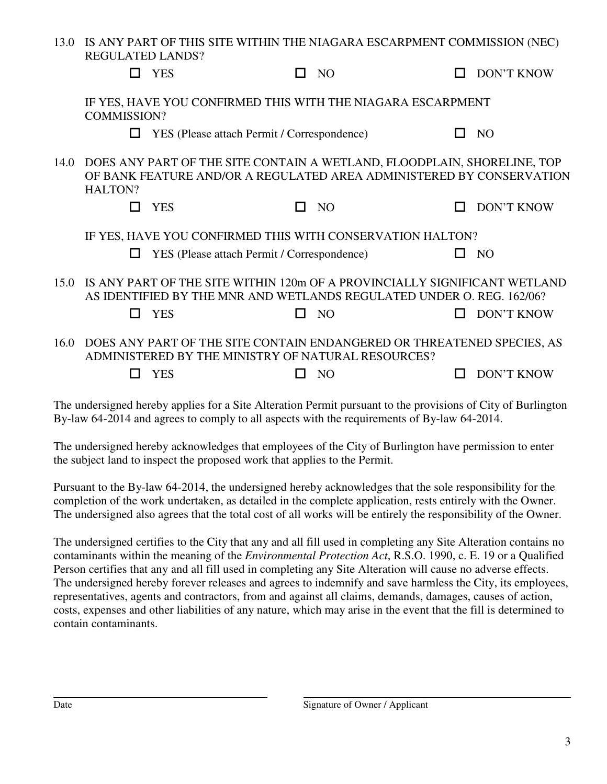|                  | 13.0 IS ANY PART OF THIS SITE WITHIN THE NIAGARA ESCARPMENT COMMISSION (NEC) |                   |
|------------------|------------------------------------------------------------------------------|-------------------|
| REGULATED LANDS? |                                                                              |                   |
| $\Box$ YES       | $\Box$ NO                                                                    | $\Box$ DON'T KNOW |

|      |                    | Y ES                                        | NO.                                                                                                                                                | <b>DON'T KNOW</b> |
|------|--------------------|---------------------------------------------|----------------------------------------------------------------------------------------------------------------------------------------------------|-------------------|
|      | <b>COMMISSION?</b> |                                             | IF YES, HAVE YOU CONFIRMED THIS WITH THE NIAGARA ESCARPMENT                                                                                        |                   |
|      |                    | YES (Please attach Permit / Correspondence) |                                                                                                                                                    | N <sub>O</sub>    |
| 14.0 | HALTON?            |                                             | DOES ANY PART OF THE SITE CONTAIN A WETLAND, FLOODPLAIN, SHORELINE, TOP<br>OF BANK FEATURE AND/OR A REGULATED AREA ADMINISTERED BY CONSERVATION    |                   |
|      |                    | <b>YES</b>                                  | N <sub>O</sub><br>П                                                                                                                                | <b>DON'T KNOW</b> |
|      |                    | YES (Please attach Permit / Correspondence) | IF YES, HAVE YOU CONFIRMED THIS WITH CONSERVATION HALTON?                                                                                          | N <sub>O</sub>    |
|      |                    |                                             |                                                                                                                                                    |                   |
| 15.0 |                    |                                             | IS ANY PART OF THE SITE WITHIN 120m OF A PROVINCIALLY SIGNIFICANT WETLAND<br>AS IDENTIFIED BY THE MNR AND WETLANDS REGULATED UNDER O. REG. 162/06? |                   |
|      |                    | <b>YES</b>                                  | NO<br>$\Box$                                                                                                                                       | <b>DON'T KNOW</b> |
| 16.0 |                    |                                             | DOES ANY PART OF THE SITE CONTAIN ENDANGERED OR THREATENED SPECIES, AS<br>ADMINISTERED BY THE MINISTRY OF NATURAL RESOURCES?                       |                   |
|      |                    | YES                                         | N <sub>O</sub>                                                                                                                                     | <b>DON'T KNOW</b> |
|      |                    |                                             |                                                                                                                                                    |                   |

The undersigned hereby applies for a Site Alteration Permit pursuant to the provisions of City of Burlington By-law 64-2014 and agrees to comply to all aspects with the requirements of By-law 64-2014.

The undersigned hereby acknowledges that employees of the City of Burlington have permission to enter the subject land to inspect the proposed work that applies to the Permit.

Pursuant to the By-law 64-2014, the undersigned hereby acknowledges that the sole responsibility for the completion of the work undertaken, as detailed in the complete application, rests entirely with the Owner. The undersigned also agrees that the total cost of all works will be entirely the responsibility of the Owner.

The undersigned certifies to the City that any and all fill used in completing any Site Alteration contains no contaminants within the meaning of the *Environmental Protection Act*, R.S.O. 1990, c. E. 19 or a Qualified Person certifies that any and all fill used in completing any Site Alteration will cause no adverse effects. The undersigned hereby forever releases and agrees to indemnify and save harmless the City, its employees, representatives, agents and contractors, from and against all claims, demands, damages, causes of action, costs, expenses and other liabilities of any nature, which may arise in the event that the fill is determined to contain contaminants.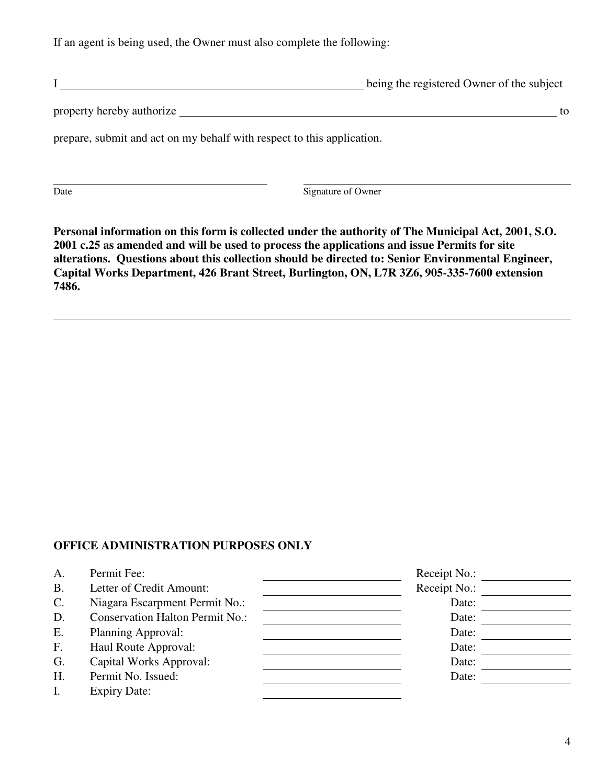If an agent is being used, the Owner must also complete the following:

|                                                                        | being the registered Owner of the subject |
|------------------------------------------------------------------------|-------------------------------------------|
| property hereby authorize                                              | to                                        |
| prepare, submit and act on my behalf with respect to this application. |                                           |
|                                                                        |                                           |

Date Signature of Owner

**Personal information on this form is collected under the authority of The Municipal Act, 2001, S.O. 2001 c.25 as amended and will be used to process the applications and issue Permits for site alterations. Questions about this collection should be directed to: Senior Environmental Engineer, Capital Works Department, 426 Brant Street, Burlington, ON, L7R 3Z6, 905-335-7600 extension 7486.** 

### **OFFICE ADMINISTRATION PURPOSES ONLY**

| А.              | Permit Fee:                            | Receipt No.: |  |
|-----------------|----------------------------------------|--------------|--|
| <b>B.</b>       | Letter of Credit Amount:               | Receipt No.: |  |
| $\mathcal{C}$ . | Niagara Escarpment Permit No.:         | Date:        |  |
| D.              | <b>Conservation Halton Permit No.:</b> | Date:        |  |
| Ε.              | Planning Approval:                     | Date:        |  |
| F.              | Haul Route Approval:                   | Date:        |  |
| G.              | Capital Works Approval:                | Date:        |  |
| Η.              | Permit No. Issued:                     | Date:        |  |
|                 | <b>Expiry Date:</b>                    |              |  |